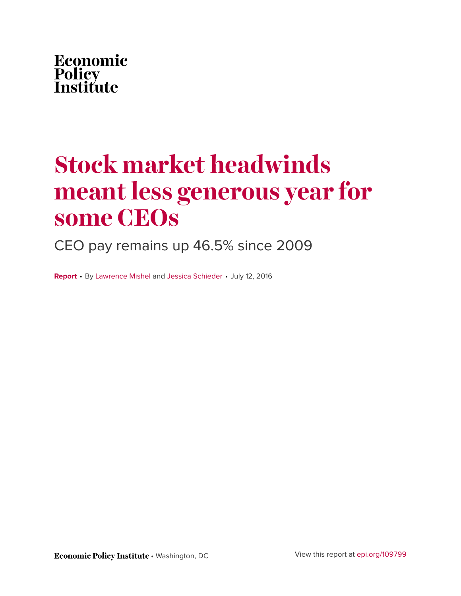

# **Stock market headwinds meant less generous year for some CEOs**

CEO pay remains up 46.5% since 2009

**Report** • By [Lawrence Mishel](http://www.epi.org/people/lawrence-mishel/) and [Jessica Schieder](http://www.epi.org/people/jessica-schieder/) • July 12, 2016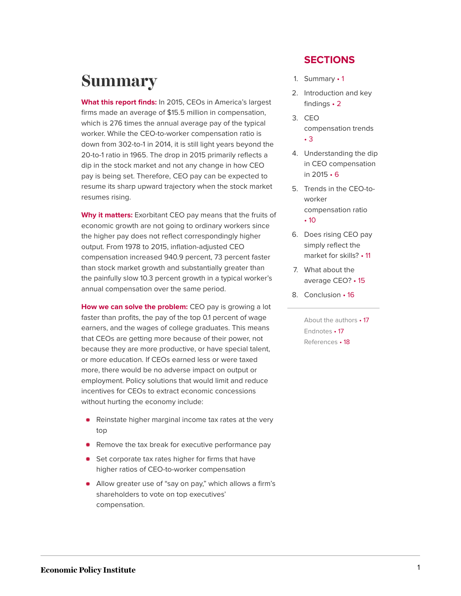### <span id="page-1-0"></span>**Summary**

**What this report finds:** In 2015, CEOs in America's largest firms made an average of \$15.5 million in compensation, which is 276 times the annual average pay of the typical worker. While the CEO-to-worker compensation ratio is down from 302-to-1 in 2014, it is still light years beyond the 20-to-1 ratio in 1965. The drop in 2015 primarily reflects a dip in the stock market and not any change in how CEO pay is being set. Therefore, CEO pay can be expected to resume its sharp upward trajectory when the stock market resumes rising.

**Why it matters:** Exorbitant CEO pay means that the fruits of economic growth are not going to ordinary workers since the higher pay does not reflect correspondingly higher output. From 1978 to 2015, inflation-adjusted CEO compensation increased 940.9 percent, 73 percent faster than stock market growth and substantially greater than the painfully slow 10.3 percent growth in a typical worker's annual compensation over the same period.

**How we can solve the problem:** CEO pay is growing a lot faster than profits, the pay of the top 0.1 percent of wage earners, and the wages of college graduates. This means that CEOs are getting more because of their power, not because they are more productive, or have special talent, or more education. If CEOs earned less or were taxed more, there would be no adverse impact on output or employment. Policy solutions that would limit and reduce incentives for CEOs to extract economic concessions without hurting the economy include:

- Reinstate higher marginal income tax rates at the very top
- **•** Remove the tax break for executive performance pay
- Set corporate tax rates higher for firms that have higher ratios of CEO-to-worker compensation
- Allow greater use of "say on pay," which allows a firm's shareholders to vote on top executives' compensation.

#### **SECTIONS**

- 1. [Summary](#page-1-0) 1
- 2. [Introduction and key](#page-2-0) [findings](#page-2-0) • 2
- 3. [CEO](#page-3-0) [compensation](#page-3-0) trends • [3](#page-3-0)
- 4. [Understanding the dip](#page-6-0) [in CEO compensation](#page-6-0) in [2015](#page-6-0) • 6
- 5. [Trends in the CEO-to](#page-10-0)[worker](#page-10-0) [compensation](#page-10-0) ratio
	- [10](#page-10-0)
- 6. [Does rising CEO pay](#page-11-0) [simply reflect the](#page-11-0) [market for](#page-11-0) skills? • 11
- 7. [What about the](#page-15-0) [average](#page-15-0) CEO? • 15
- 8. [Conclusion](#page-16-0) 16

[About the](#page-17-0) authors • 17 [Endnotes](#page-17-1) • 17 [References](#page-18-0) • 18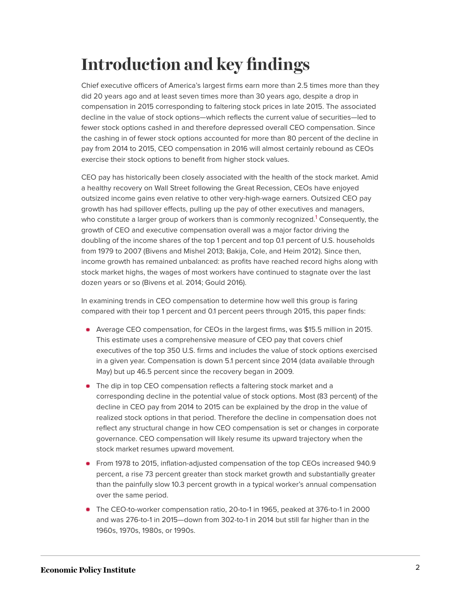# <span id="page-2-0"></span>**Introduction and key findings**

Chief executive officers of America's largest firms earn more than 2.5 times more than they did 20 years ago and at least seven times more than 30 years ago, despite a drop in compensation in 2015 corresponding to faltering stock prices in late 2015. The associated decline in the value of stock options—which reflects the current value of securities—led to fewer stock options cashed in and therefore depressed overall CEO compensation. Since the cashing in of fewer stock options accounted for more than 80 percent of the decline in pay from 2014 to 2015, CEO compensation in 2016 will almost certainly rebound as CEOs exercise their stock options to benefit from higher stock values.

<span id="page-2-1"></span>CEO pay has historically been closely associated with the health of the stock market. Amid a healthy recovery on Wall Street following the Great Recession, CEOs have enjoyed outsized income gains even relative to other very-high-wage earners. Outsized CEO pay growth has had spillover effects, pulling up the pay of other executives and managers, who constitute a larger group of workers than is commonly recognized.<sup>[1](#page-17-2)</sup> Consequently, the growth of CEO and executive compensation overall was a major factor driving the doubling of the income shares of the top 1 percent and top 0.1 percent of U.S. households from 1979 to 2007 (Bivens and Mishel 2013; Bakija, Cole, and Heim 2012). Since then, income growth has remained unbalanced: as profits have reached record highs along with stock market highs, the wages of most workers have continued to stagnate over the last dozen years or so (Bivens et al. 2014; Gould 2016).

In examining trends in CEO compensation to determine how well this group is faring compared with their top 1 percent and 0.1 percent peers through 2015, this paper finds:

- Average CEO compensation, for CEOs in the largest firms, was \$15.5 million in 2015. This estimate uses a comprehensive measure of CEO pay that covers chief executives of the top 350 U.S. firms and includes the value of stock options exercised in a given year. Compensation is down 5.1 percent since 2014 (data available through May) but up 46.5 percent since the recovery began in 2009.
- The dip in top CEO compensation reflects a faltering stock market and a corresponding decline in the potential value of stock options. Most (83 percent) of the decline in CEO pay from 2014 to 2015 can be explained by the drop in the value of realized stock options in that period. Therefore the decline in compensation does not reflect any structural change in how CEO compensation is set or changes in corporate governance. CEO compensation will likely resume its upward trajectory when the stock market resumes upward movement.
- From 1978 to 2015, inflation-adjusted compensation of the top CEOs increased 940.9 percent, a rise 73 percent greater than stock market growth and substantially greater than the painfully slow 10.3 percent growth in a typical worker's annual compensation over the same period.
- The CEO-to-worker compensation ratio, 20-to-1 in 1965, peaked at 376-to-1 in 2000 and was 276-to-1 in 2015—down from 302-to-1 in 2014 but still far higher than in the 1960s, 1970s, 1980s, or 1990s.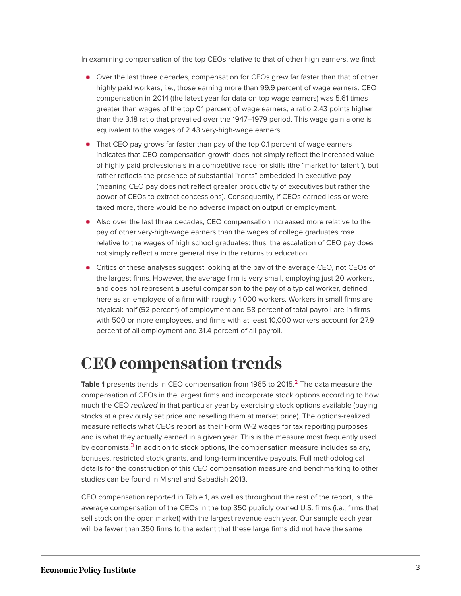In examining compensation of the top CEOs relative to that of other high earners, we find:

- Over the last three decades, compensation for CEOs grew far faster than that of other highly paid workers, i.e., those earning more than 99.9 percent of wage earners. CEO compensation in 2014 (the latest year for data on top wage earners) was 5.61 times greater than wages of the top 0.1 percent of wage earners, a ratio 2.43 points higher than the 3.18 ratio that prevailed over the 1947–1979 period. This wage gain alone is equivalent to the wages of 2.43 very-high-wage earners.
- That CEO pay grows far faster than pay of the top 0.1 percent of wage earners indicates that CEO compensation growth does not simply reflect the increased value of highly paid professionals in a competitive race for skills (the "market for talent"), but rather reflects the presence of substantial "rents" embedded in executive pay (meaning CEO pay does not reflect greater productivity of executives but rather the power of CEOs to extract concessions). Consequently, if CEOs earned less or were taxed more, there would be no adverse impact on output or employment.
- Also over the last three decades, CEO compensation increased more relative to the pay of other very-high-wage earners than the wages of college graduates rose relative to the wages of high school graduates: thus, the escalation of CEO pay does not simply reflect a more general rise in the returns to education.
- Critics of these analyses suggest looking at the pay of the average CEO, not CEOs of the largest firms. However, the average firm is very small, employing just 20 workers, and does not represent a useful comparison to the pay of a typical worker, defined here as an employee of a firm with roughly 1,000 workers. Workers in small firms are atypical: half (52 percent) of employment and 58 percent of total payroll are in firms with 500 or more employees, and firms with at least 10,000 workers account for 27.9 percent of all employment and 31.4 percent of all payroll.

### <span id="page-3-0"></span>**CEO compensation trends**

<span id="page-3-1"></span>**Table 1** presents trends in CEO compensation from 1965 to [2](#page-17-3)015.<sup>2</sup> The data measure the compensation of CEOs in the largest firms and incorporate stock options according to how much the CEO realized in that particular year by exercising stock options available (buying stocks at a previously set price and reselling them at market price). The options-realized measure reflects what CEOs report as their Form W-2 wages for tax reporting purposes and is what they actually earned in a given year. This is the measure most frequently used by economists.<sup>[3](#page-17-4)</sup> In addition to stock options, the compensation measure includes salary, bonuses, restricted stock grants, and long-term incentive payouts. Full methodological details for the construction of this CEO compensation measure and benchmarking to other studies can be found in Mishel and Sabadish 2013.

<span id="page-3-2"></span>CEO compensation reported in Table 1, as well as throughout the rest of the report, is the average compensation of the CEOs in the top 350 publicly owned U.S. firms (i.e., firms that sell stock on the open market) with the largest revenue each year. Our sample each year will be fewer than 350 firms to the extent that these large firms did not have the same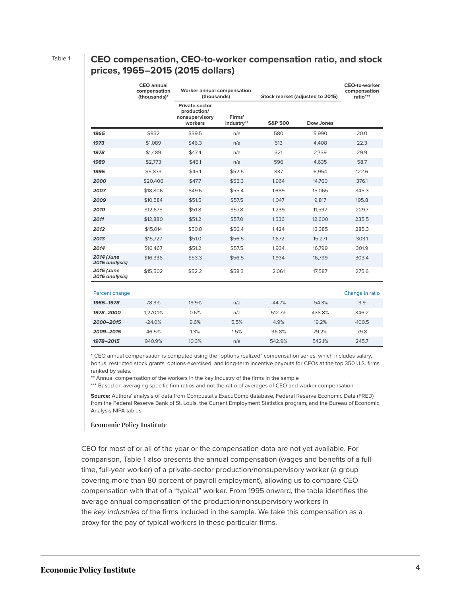#### Table 1 **CEO compensation, CEO-to-worker compensation ratio, and stock prices, 1965–2015 (2015 dollars)**

|                              | <b>CEO</b> annual<br>compensation<br>(thousands)* | Worker annual compensation<br>(thousands)                         |                      | Stock market (adjusted to 2015) |           | <b>CEO-to-worker</b><br>compensation<br>ratio*** |
|------------------------------|---------------------------------------------------|-------------------------------------------------------------------|----------------------|---------------------------------|-----------|--------------------------------------------------|
|                              |                                                   | <b>Private-sector</b><br>production/<br>nonsupervisory<br>workers | Firms'<br>industry** | <b>S&amp;P 500</b>              | Dow Jones |                                                  |
| 1965                         | \$832                                             | \$39.5                                                            | n/a                  | 580                             | 5,990     | 20.0                                             |
| 1973                         | \$1,089                                           | \$46.3                                                            | n/a                  | 513                             | 4.408     | 22.3                                             |
| 1978                         | \$1,489                                           | \$47.4                                                            | n/a                  | 321                             | 2,739     | 29.9                                             |
| 1989                         | \$2,773                                           | \$45.1                                                            | n/a                  | 596                             | 4,635     | 58.7                                             |
| 1995                         | \$5,873                                           | \$45.1                                                            | \$52.5               | 837                             | 6,954     | 122.6                                            |
| 2000                         | \$20,406                                          | \$47.7                                                            | \$55.3               | 1,964                           | 14,760    | 376.1                                            |
| 2007                         | \$18,806                                          | \$49.6                                                            | \$55.4               | 1,689                           | 15,065    | 345.3                                            |
| 2009                         | \$10,584                                          | \$51.5                                                            | \$57.5               | 1.047                           | 9,817     | 195.8                                            |
| 2010                         | \$12,675                                          | \$51.8                                                            | \$57.8               | 1,239                           | 11,597    | 229.7                                            |
| 2011                         | \$12,880                                          | \$51.2                                                            | \$57.0               | 1,336                           | 12,600    | 235.5                                            |
| 2012                         | \$15,014                                          | \$50.8                                                            | \$56.4               | 1,424                           | 13,385    | 285.3                                            |
| 2013                         | \$15,727                                          | \$51.0                                                            | \$56.5               | 1.672                           | 15,271    | 303.1                                            |
| 2014                         | \$16,467                                          | \$51.2                                                            | \$57.5               | 1,934                           | 16,799    | 301.9                                            |
| 2014 (June<br>2015 analysis) | \$16,336                                          | \$53.3                                                            | \$56.5               | 1,934                           | 16,799    | 303.4                                            |
| 2015 (June<br>2016 analysis) | \$15,502                                          | \$52.2                                                            | \$58.3               | 2,061                           | 17,587    | 275.6                                            |
|                              |                                                   |                                                                   |                      |                                 |           |                                                  |
| Percent change               |                                                   |                                                                   |                      |                                 |           | Change in ratio                                  |
| 1965-1978                    | 78.9%                                             | 19.9%                                                             | n/a                  | $-44.7%$                        | $-54.3%$  | 9.9                                              |
| 1978-2000                    | 1,270.1%                                          | 0.6%                                                              | n/a                  | 512.7%                          | 438.8%    | 346.2                                            |

| 1978-2015                                                                                                             | 940.9% | 10.3% | n/a | 542.9% | 5421% | 245.7 |
|-----------------------------------------------------------------------------------------------------------------------|--------|-------|-----|--------|-------|-------|
| * CEO annual compensation is computed using the "options realized" compensation series, which includes salary,        |        |       |     |        |       |       |
| bonus, restricted stock grants, options exercised, and long-term incentive payouts for CEOs at the top 350 U.S. firms |        |       |     |        |       |       |
| ranked by sales.                                                                                                      |        |       |     |        |       |       |

**2000–2015** -24.0% 9.6% 5.5% 4.9% 19.2% -100.5 **2009–2015** 46.5% 1.3% 1.5% 96.8% 79.2% 79.8

\*\* Annual compensation of the workers in the key industry of the firms in the sample

\*\*\* Based on averaging specific firm ratios and not the ratio of averages of CEO and worker compensation

**Source:** Authors' analysis of data from Compustat's ExecuComp database, Federal Reserve Economic Data (FRED) from the Federal Reserve Bank of St. Louis, the Current Employment Statistics program, and the Bureau of Economic Analysis NIPA tables.

#### **Economic Policy Institute**

CEO for most of or all of the year or the compensation data are not yet available. For comparison, Table 1 also presents the annual compensation (wages and benefits of a fulltime, full-year worker) of a private-sector production/nonsupervisory worker (a group covering more than 80 percent of payroll employment), allowing us to compare CEO compensation with that of a "typical" worker. From 1995 onward, the table identifies the average annual compensation of the production/nonsupervisory workers in the key industries of the firms included in the sample. We take this compensation as a proxy for the pay of typical workers in these particular firms.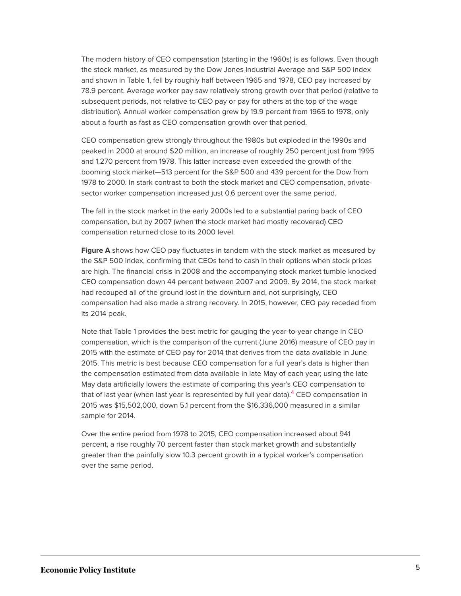The modern history of CEO compensation (starting in the 1960s) is as follows. Even though the stock market, as measured by the Dow Jones Industrial Average and S&P 500 index and shown in Table 1, fell by roughly half between 1965 and 1978, CEO pay increased by 78.9 percent. Average worker pay saw relatively strong growth over that period (relative to subsequent periods, not relative to CEO pay or pay for others at the top of the wage distribution). Annual worker compensation grew by 19.9 percent from 1965 to 1978, only about a fourth as fast as CEO compensation growth over that period.

CEO compensation grew strongly throughout the 1980s but exploded in the 1990s and peaked in 2000 at around \$20 million, an increase of roughly 250 percent just from 1995 and 1,270 percent from 1978. This latter increase even exceeded the growth of the booming stock market—513 percent for the S&P 500 and 439 percent for the Dow from 1978 to 2000. In stark contrast to both the stock market and CEO compensation, privatesector worker compensation increased just 0.6 percent over the same period.

The fall in the stock market in the early 2000s led to a substantial paring back of CEO compensation, but by 2007 (when the stock market had mostly recovered) CEO compensation returned close to its 2000 level.

**Figure A** shows how CEO pay fluctuates in tandem with the stock market as measured by the S&P 500 index, confirming that CEOs tend to cash in their options when stock prices are high. The financial crisis in 2008 and the accompanying stock market tumble knocked CEO compensation down 44 percent between 2007 and 2009. By 2014, the stock market had recouped all of the ground lost in the downturn and, not surprisingly, CEO compensation had also made a strong recovery. In 2015, however, CEO pay receded from its 2014 peak.

Note that Table 1 provides the best metric for gauging the year-to-year change in CEO compensation, which is the comparison of the current (June 2016) measure of CEO pay in 2015 with the estimate of CEO pay for 2014 that derives from the data available in June 2015. This metric is best because CEO compensation for a full year's data is higher than the compensation estimated from data available in late May of each year; using the late May data artificially lowers the estimate of comparing this year's CEO compensation to that of last year (when last year is represented by full year data).<sup>[4](#page-17-5)</sup> CEO compensation in 2015 was \$15,502,000, down 5.1 percent from the \$16,336,000 measured in a similar sample for 2014.

<span id="page-5-0"></span>Over the entire period from 1978 to 2015, CEO compensation increased about 941 percent, a rise roughly 70 percent faster than stock market growth and substantially greater than the painfully slow 10.3 percent growth in a typical worker's compensation over the same period.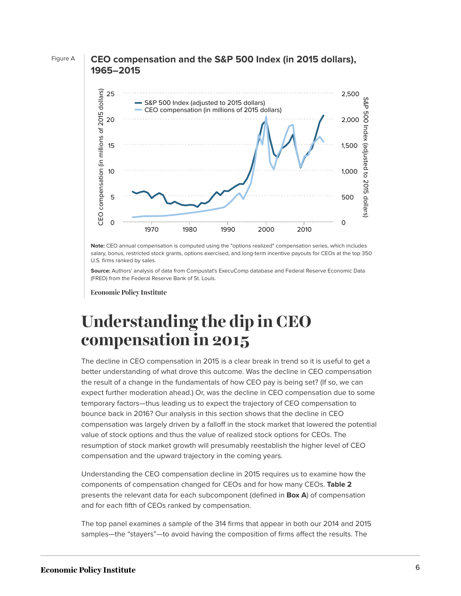



Note: CEO annual compensation is computed using the "options realized" compensation series, which includes salary, bonus, restricted stock grants, options exercised, and long-term incentive payouts for CEOs at the top 350 **1986** 1.2336, 1988 1988 1988, 1988 1988 1988 1988<br>U.S. firms ranked by sales.

Source: Authors' analysis of data from Compustat's ExecuComp database and Federal Reserve Economic Data (FRED) from the Federal Reserve Bank of St. Louis.

**1978** 1.489378 320.60964

### <span id="page-6-0"></span>**Understanding the dip in CEO compensation in 2015 1982** 1.86717921 282.491803

The decline in CEO compensation in 2015 is a clear break in trend so it is useful to get a the result of a change in the fundamentals of how CEO pay is being set? (If so, we can expect further moderation ahead.) Or, was the decline in CEO compensation due to some temporary factors—thus leading us to expect the trajectory of CEO compensation to bounce back in 2016? Our analysis in this section shows that the decline in CEO<br> **1988** 2.6209432 512.160972 value of stock options and thus the value of realized stock options for CEOs. The resumption of stock market growth will presumably reestablish the higher level of CEO compensation and the upward trajectory in the coming years. better understanding of what drove this outcome. Was the decline in CEO compensation compensation was largely driven by a falloff in the stock market that lowered the potential

Understanding the CEO compensation decline in 2015 requires us to examine how the components of compensation changed for CEOs and for how many CEOs. Table 2 presents the relevant data for each subcomponent (defined in **Box A**) of compensation **1994** 4.36257816 728.736731 and for each fifth of CEOs ranked by compensation.

The top panel examines a sample of the 314 firms that appear in both our 2014 and 20<mark>15</mark> samples—the "stayers"—to avoid having the composition of firms affect the results. The

**1997** 11.3640162 1286.75643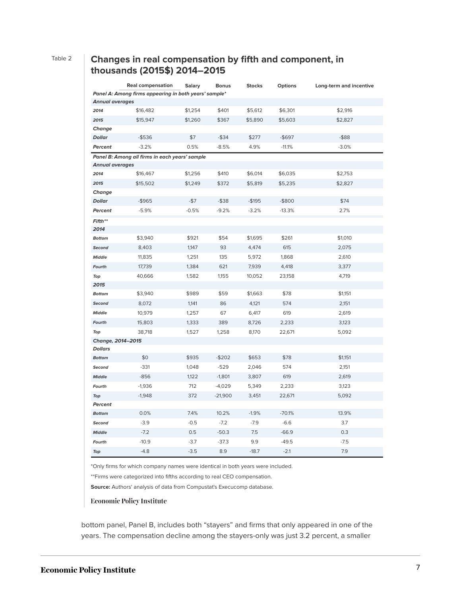#### Table 2 **Changes in real compensation by fifth and component, in thousands (2015\$) 2014–2015**

|                                                       | <b>Real compensation</b> | <b>Salary</b> | <b>Bonus</b> | <b>Stocks</b> | <b>Options</b> | Long-term and incentive |  |  |
|-------------------------------------------------------|--------------------------|---------------|--------------|---------------|----------------|-------------------------|--|--|
| Panel A: Among firms appearing in both years' sample* |                          |               |              |               |                |                         |  |  |
| <b>Annual averages</b>                                |                          |               |              |               |                |                         |  |  |
| 2014                                                  | \$16,482                 | \$1,254       | \$401        | \$5,612       | \$6,301        | \$2,916                 |  |  |
| 2015                                                  | \$15,947                 | \$1,260       | \$367        | \$5,890       | \$5,603        | \$2,827                 |  |  |
| Change                                                |                          |               |              |               |                |                         |  |  |
| <b>Dollar</b>                                         | $-$ \$536                | \$7           | $-$ \$34     | \$277         | $-$ \$697      | $-$ \$88                |  |  |
| Percent                                               | $-3.2%$                  | 0.5%          | $-8.5%$      | 4.9%          | $-11.1%$       | $-3.0%$                 |  |  |
| Panel B: Among all firms in each years' sample        |                          |               |              |               |                |                         |  |  |
| <b>Annual averages</b>                                |                          |               |              |               |                |                         |  |  |
| 2014                                                  | \$16,467                 | \$1,256       | \$410        | \$6,014       | \$6,035        | \$2,753                 |  |  |
| 2015                                                  | \$15,502                 | \$1,249       | \$372        | \$5,819       | \$5,235        | \$2,827                 |  |  |
| Change                                                |                          |               |              |               |                |                         |  |  |
| <b>Dollar</b>                                         | -\$965                   | $-$ \$7       | $-$ \$38     | -\$195        | $-$ \$800      | \$74                    |  |  |
| Percent                                               | $-5.9%$                  | $-0.5%$       | $-9.2%$      | $-3.2%$       | $-13.3%$       | 2.7%                    |  |  |
| Fifth**                                               |                          |               |              |               |                |                         |  |  |
| 2014                                                  |                          |               |              |               |                |                         |  |  |
| <b>Bottom</b>                                         | \$3,940                  | \$921         | \$54         | \$1,695       | \$261          | \$1,010                 |  |  |
| Second                                                | 8,403                    | 1,147         | 93           | 4,474         | 615            | 2,075                   |  |  |
| <b>Middle</b>                                         | 11,835                   | 1,251         | 135          | 5,972         | 1,868          | 2,610                   |  |  |
| Fourth                                                | 17,739                   | 1,384         | 621          | 7,939         | 4,418          | 3,377                   |  |  |
| Top                                                   | 40,666                   | 1,582         | 1,155        | 10,052        | 23,158         | 4,719                   |  |  |
| 2015                                                  |                          |               |              |               |                |                         |  |  |
| <b>Bottom</b>                                         | \$3,940                  | \$989         | \$59         | \$1,663       | \$78           | \$1,151                 |  |  |
| Second                                                | 8,072                    | 1,141         | 86           | 4,121         | 574            | 2,151                   |  |  |
| <b>Middle</b>                                         | 10,979                   | 1,257         | 67           | 6,417         | 619            | 2,619                   |  |  |
| Fourth                                                | 15,803                   | 1,333         | 389          | 8,726         | 2,233          | 3,123                   |  |  |
| Top                                                   | 38,718                   | 1,527         | 1,258        | 8,170         | 22,671         | 5,092                   |  |  |
| Change, 2014-2015                                     |                          |               |              |               |                |                         |  |  |
| <b>Dollars</b>                                        |                          |               |              |               |                |                         |  |  |
| <b>Bottom</b>                                         | \$0                      | \$935         | $-$202$      | \$653         | \$78           | \$1,151                 |  |  |
| Second                                                | $-331$                   | 1,048         | $-529$       | 2,046         | 574            | 2,151                   |  |  |
| <b>Middle</b>                                         | $-856$                   | 1,122         | $-1,801$     | 3,807         | 619            | 2,619                   |  |  |
| Fourth                                                | $-1,936$                 | 712           | $-4,029$     | 5,349         | 2,233          | 3,123                   |  |  |
| Top                                                   | $-1,948$                 | 372           | $-21,900$    | 3,451         | 22,671         | 5,092                   |  |  |
| Percent                                               |                          |               |              |               |                |                         |  |  |
| <b>Bottom</b>                                         | 0.0%                     | 7.4%          | 10.2%        | $-1.9%$       | $-70.1%$       | 13.9%                   |  |  |
| Second                                                | $-3.9$                   | $-0.5$        | $-7.2$       | $-7.9$        | $-6.6$         | 3.7                     |  |  |
| <b>Middle</b>                                         | $-7.2$                   | 0.5           | $-50.3$      | 7.5           | $-66.9$        | 0.3                     |  |  |
| Fourth                                                | $-10.9$                  | $-3.7$        | $-37.3$      | 9.9           | $-49.5$        | $-7.5$                  |  |  |
| Top                                                   | $-4.8$                   | $-3.5$        | 8.9          | $-18.7$       | $-2.1$         | 7.9                     |  |  |

\*Only firms for which company names were identical in both years were included.

\*\*Firms were categorized into fifths according to real CEO compensation.

**Source:** Authors' analysis of data from Compustat's Execucomp database.

#### **Economic Policy Institute**

bottom panel, Panel B, includes both "stayers" and firms that only appeared in one of the years. The compensation decline among the stayers-only was just 3.2 percent, a smaller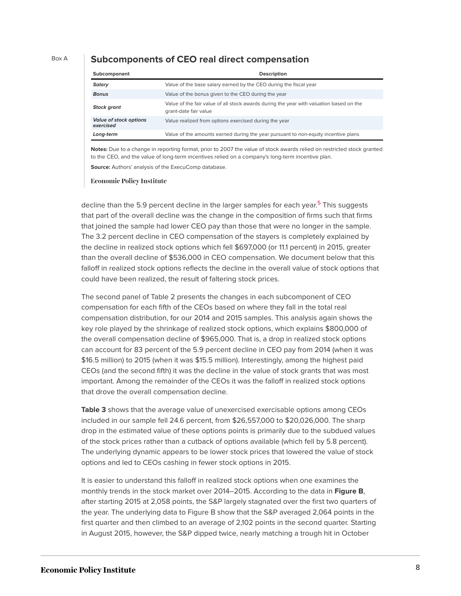#### Box A **Subcomponents of CEO real direct compensation**

| Subcomponent                               | <b>Description</b>                                                                                               |
|--------------------------------------------|------------------------------------------------------------------------------------------------------------------|
| <b>Salary</b>                              | Value of the base salary earned by the CEO during the fiscal year                                                |
| <b>Bonus</b>                               | Value of the bonus given to the CEO during the year                                                              |
| <b>Stock grant</b>                         | Value of the fair value of all stock awards during the year with valuation based on the<br>grant-date fair value |
| <b>Value of stock options</b><br>exercised | Value realized from options exercised during the year                                                            |
| Long-term                                  | Value of the amounts earned during the year pursuant to non-equity incentive plans                               |

**Notes:** Due to a change in reporting format, prior to 2007 the value of stock awards relied on restricted stock granted to the CEO, and the value of long-term incentives relied on a company's long-term incentive plan. **Source:** Authors' analysis of the ExecuComp database.

**Economic Policy Institute** 

<span id="page-8-0"></span>decline than the [5](#page-18-1).9 percent decline in the larger samples for each year.<sup>5</sup> This suggests that part of the overall decline was the change in the composition of firms such that firms that joined the sample had lower CEO pay than those that were no longer in the sample. The 3.2 percent decline in CEO compensation of the stayers is completely explained by the decline in realized stock options which fell \$697,000 (or 11.1 percent) in 2015, greater than the overall decline of \$536,000 in CEO compensation. We document below that this falloff in realized stock options reflects the decline in the overall value of stock options that could have been realized, the result of faltering stock prices.

The second panel of Table 2 presents the changes in each subcomponent of CEO compensation for each fifth of the CEOs based on where they fall in the total real compensation distribution, for our 2014 and 2015 samples. This analysis again shows the key role played by the shrinkage of realized stock options, which explains \$800,000 of the overall compensation decline of \$965,000. That is, a drop in realized stock options can account for 83 percent of the 5.9 percent decline in CEO pay from 2014 (when it was \$16.5 million) to 2015 (when it was \$15.5 million). Interestingly, among the highest paid CEOs (and the second fifth) it was the decline in the value of stock grants that was most important. Among the remainder of the CEOs it was the falloff in realized stock options that drove the overall compensation decline.

**Table 3** shows that the average value of unexercised exercisable options among CEOs included in our sample fell 24.6 percent, from \$26,557,000 to \$20,026,000. The sharp drop in the estimated value of these options points is primarily due to the subdued values of the stock prices rather than a cutback of options available (which fell by 5.8 percent). The underlying dynamic appears to be lower stock prices that lowered the value of stock options and led to CEOs cashing in fewer stock options in 2015.

It is easier to understand this falloff in realized stock options when one examines the monthly trends in the stock market over 2014–2015. According to the data in **Figure B**, after starting 2015 at 2,058 points, the S&P largely stagnated over the first two quarters of the year. The underlying data to Figure B show that the S&P averaged 2,064 points in the first quarter and then climbed to an average of 2,102 points in the second quarter. Starting in August 2015, however, the S&P dipped twice, nearly matching a trough hit in October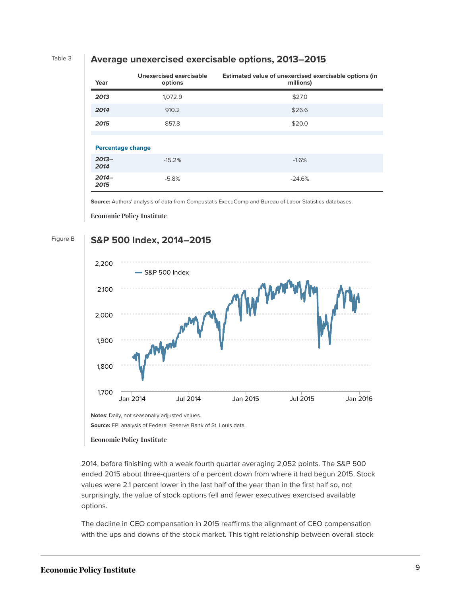#### Table 3 **Average unexercised exercisable options, 2013–2015**

| Year                     | Unexercised exercisable<br>options | Estimated value of unexercised exercisable options (in<br>millions) |
|--------------------------|------------------------------------|---------------------------------------------------------------------|
| 2013                     | 1,072.9                            | \$27.0                                                              |
| 2014                     | 910.2                              | \$26.6                                                              |
| 2015                     | 857.8                              | \$20.0                                                              |
|                          |                                    |                                                                     |
| <b>Percentage change</b> |                                    |                                                                     |
| $2013 -$<br>2014         | $-15.2%$                           | $-1.6%$                                                             |
| $2014-$<br>2015          | $-5.8%$                            | $-24.6%$                                                            |

**Source:** Authors' analysis of data from Compustat's ExecuComp and Bureau of Labor Statistics databases.

**Economic Policy Institute** 

#### Figure B **S&P 500 Index, 2014–2015**



**Economic Policy Institute** 

2014, before finishing with a weak fourth quarter averaging 2,052 points. The S&P 500 ended 2015 about three-quarters of a percent down from where it had begun 2015. Stock **2014-01-24** 1790.29 surprisingly, the value of stock options fell and fewer executives exercised available **2014** 1781.56 values were 2.1 percent lower in the last half of the year than in the first half so, not

**2014-01-28** 1792.50 The decline in CEO compensation in 2015 reaffirms the alignment of CEO compensation with the ups and downs of the stock market. This tight relationship between overall stock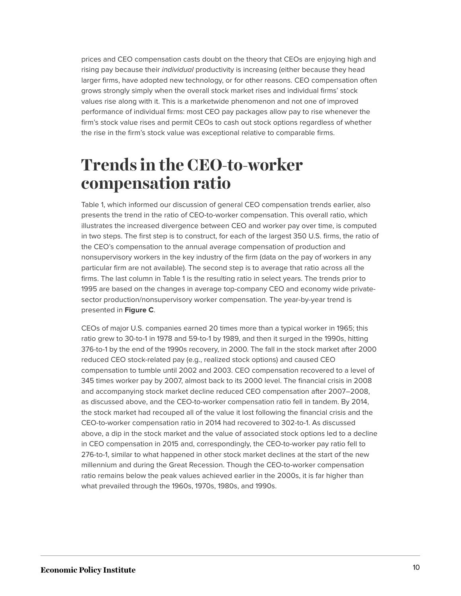prices and CEO compensation casts doubt on the theory that CEOs are enjoying high and rising pay because their *individual* productivity is increasing (either because they head larger firms, have adopted new technology, or for other reasons. CEO compensation often grows strongly simply when the overall stock market rises and individual firms' stock values rise along with it. This is a marketwide phenomenon and not one of improved performance of individual firms: most CEO pay packages allow pay to rise whenever the firm's stock value rises and permit CEOs to cash out stock options regardless of whether the rise in the firm's stock value was exceptional relative to comparable firms.

### <span id="page-10-0"></span>**Trends in the CEO-to-worker compensation ratio**

Table 1, which informed our discussion of general CEO compensation trends earlier, also presents the trend in the ratio of CEO-to-worker compensation. This overall ratio, which illustrates the increased divergence between CEO and worker pay over time, is computed in two steps. The first step is to construct, for each of the largest 350 U.S. firms, the ratio of the CEO's compensation to the annual average compensation of production and nonsupervisory workers in the key industry of the firm (data on the pay of workers in any particular firm are not available). The second step is to average that ratio across all the firms. The last column in Table 1 is the resulting ratio in select years. The trends prior to 1995 are based on the changes in average top-company CEO and economy wide privatesector production/nonsupervisory worker compensation. The year-by-year trend is presented in **Figure C**.

CEOs of major U.S. companies earned 20 times more than a typical worker in 1965; this ratio grew to 30-to-1 in 1978 and 59-to-1 by 1989, and then it surged in the 1990s, hitting 376-to-1 by the end of the 1990s recovery, in 2000. The fall in the stock market after 2000 reduced CEO stock-related pay (e.g., realized stock options) and caused CEO compensation to tumble until 2002 and 2003. CEO compensation recovered to a level of 345 times worker pay by 2007, almost back to its 2000 level. The financial crisis in 2008 and accompanying stock market decline reduced CEO compensation after 2007–2008, as discussed above, and the CEO-to-worker compensation ratio fell in tandem. By 2014, the stock market had recouped all of the value it lost following the financial crisis and the CEO-to-worker compensation ratio in 2014 had recovered to 302-to-1. As discussed above, a dip in the stock market and the value of associated stock options led to a decline in CEO compensation in 2015 and, correspondingly, the CEO-to-worker pay ratio fell to 276-to-1, similar to what happened in other stock market declines at the start of the new millennium and during the Great Recession. Though the CEO-to-worker compensation ratio remains below the peak values achieved earlier in the 2000s, it is far higher than what prevailed through the 1960s, 1970s, 1980s, and 1990s.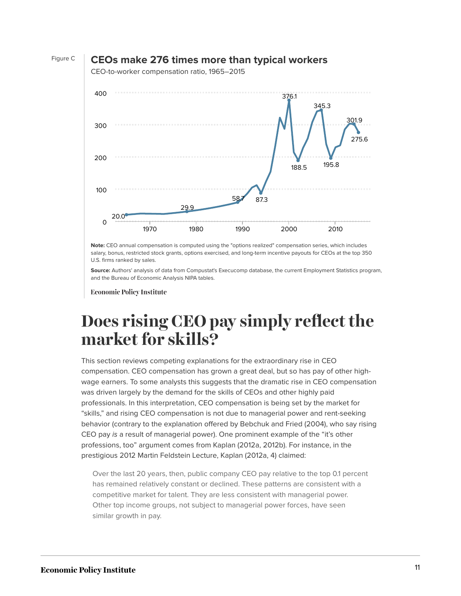

#### Figure C **CEOs make 276 times more than typical workers**

**Year** 400 **1966/** 300 **01/01** 200 **01/01** 100 **1971/** 0 **01/01** 22.9 20.0 29.9 58.7 87.3 376.1 188.5 345.3 195.8 301.9 275.6 1970 1980 1990 2000 2010

CEO-to-worker compensation ratio, 1965–2015

**Note:** CEO annual compensation is computed using the "options realized" compensation series, which includes **01/01** salary, bonus, restricted stock grants, options exercised, and long-term incentive payouts for CEOs at the top 350 salary, borius, restricted str<br>U.S. firms ranked by sales. **1212**, **1211**<br>**1211** S. firms ranked by sal

**Source:** Authors' analysis of data from Compustat's Execucomp database, the current Employment Statistics program, **2021 CET Additions analysis of data from compastate**<br>and the Bureau of Economic Analysis NIPA tables. **nd the Bureau of Ecor** 

conomic Policy In

### <span id="page-11-0"></span>000 **pici 1977/ Does rising CEO pay simply reflect the 01/01** 28.2 **market for skills?**

**01/01** This section reviews competing explanations for the extraordinary rise in CEO **1979/** compensation. CEO compensation has grown a great deal, but so has pay of other high-**1980/** 33.8 wage earners. To some analysts this suggests that the dramatic rise in CEO compensation was driven largely by the demand for the skills of CEOs and other highly paid **1981/** 35.9 professionals. In this interpretation, CEO compensation is being set by the market for **01/01** "skills," and rising CEO compensation is not due to managerial power and rent-seeking **1982/** 38.2 behavior (contrary to the explanation offered by Bebchuk and Fried (2004), who say rising **01/01** CEO pay is a result of managerial power). One prominent example of the "it's other **1983/ 01/01** 40.6 professions, too" argument comes from Kaplan (2012a, 2012b). For instance, in the **1984/** 43.2 prestigious 2012 Martin Feldstein Lecture, Kaplan (2012a, 4) claimed:

**1985/** Over the last 20 years, then, public company CEO pay relative to the top 0.1 percent **01/01** 45.9 has remained relatively constant or declined. These patterns are consistent with a **1986/** 48.9 competitive market for talent. They are less consistent with managerial power. Other top income groups, not subject to managerial power forces, have seen simila similar growth in pay.

**01/01**

58.7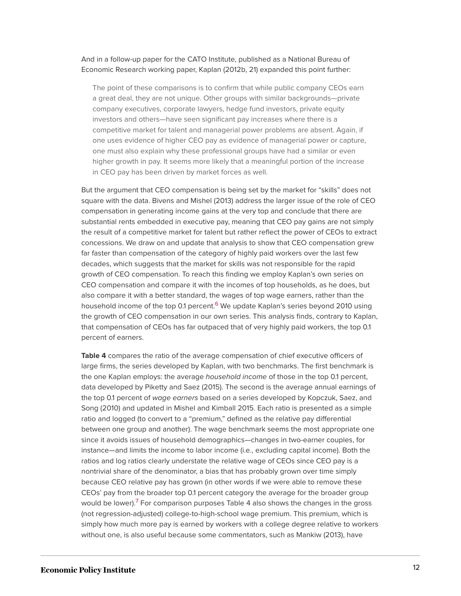#### And in a follow-up paper for the CATO Institute, published as a National Bureau of Economic Research working paper, Kaplan (2012b, 21) expanded this point further:

The point of these comparisons is to confirm that while public company CEOs earn a great deal, they are not unique. Other groups with similar backgrounds—private company executives, corporate lawyers, hedge fund investors, private equity investors and others—have seen significant pay increases where there is a competitive market for talent and managerial power problems are absent. Again, if one uses evidence of higher CEO pay as evidence of managerial power or capture, one must also explain why these professional groups have had a similar or even higher growth in pay. It seems more likely that a meaningful portion of the increase in CEO pay has been driven by market forces as well.

But the argument that CEO compensation is being set by the market for "skills" does not square with the data. Bivens and Mishel (2013) address the larger issue of the role of CEO compensation in generating income gains at the very top and conclude that there are substantial rents embedded in executive pay, meaning that CEO pay gains are not simply the result of a competitive market for talent but rather reflect the power of CEOs to extract concessions. We draw on and update that analysis to show that CEO compensation grew far faster than compensation of the category of highly paid workers over the last few decades, which suggests that the market for skills was not responsible for the rapid growth of CEO compensation. To reach this finding we employ Kaplan's own series on CEO compensation and compare it with the incomes of top households, as he does, but also compare it with a better standard, the wages of top wage earners, rather than the household income of the top 0.1 percent.<sup>[6](#page-18-2)</sup> We update Kaplan's series beyond 2010 using the growth of CEO compensation in our own series. This analysis finds, contrary to Kaplan, that compensation of CEOs has far outpaced that of very highly paid workers, the top 0.1 percent of earners.

<span id="page-12-1"></span><span id="page-12-0"></span>**Table 4** compares the ratio of the average compensation of chief executive officers of large firms, the series developed by Kaplan, with two benchmarks. The first benchmark is the one Kaplan employs: the average household income of those in the top 0.1 percent, data developed by Piketty and Saez (2015). The second is the average annual earnings of the top 0.1 percent of wage earners based on a series developed by Kopczuk, Saez, and Song (2010) and updated in Mishel and Kimball 2015. Each ratio is presented as a simple ratio and logged (to convert to a "premium," defined as the relative pay differential between one group and another). The wage benchmark seems the most appropriate one since it avoids issues of household demographics—changes in two-earner couples, for instance—and limits the income to labor income (i.e., excluding capital income). Both the ratios and log ratios clearly understate the relative wage of CEOs since CEO pay is a nontrivial share of the denominator, a bias that has probably grown over time simply because CEO relative pay has grown (in other words if we were able to remove these CEOs' pay from the broader top 0.1 percent category the average for the broader group would be lower).<sup>[7](#page-18-3)</sup> For comparison purposes Table 4 also shows the changes in the gross (not regression-adjusted) college-to-high-school wage premium. This premium, which is simply how much more pay is earned by workers with a college degree relative to workers without one, is also useful because some commentators, such as Mankiw (2013), have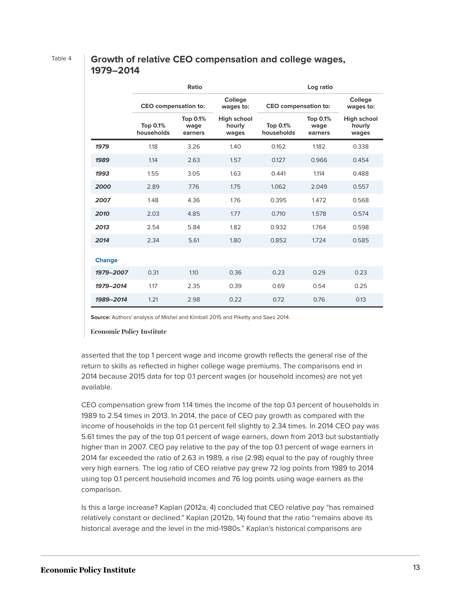#### Table 4 **Growth of relative CEO compensation and college wages, 1979–2014**

|               | Ratio                         |                             |                                       | Log ratio                     |                             |                                       |  |
|---------------|-------------------------------|-----------------------------|---------------------------------------|-------------------------------|-----------------------------|---------------------------------------|--|
|               | <b>CEO</b> compensation to:   |                             | College<br>wages to:                  | <b>CEO</b> compensation to:   |                             | College<br>wages to:                  |  |
|               | <b>Top 0.1%</b><br>households | Top 0.1%<br>wage<br>earners | <b>High school</b><br>hourly<br>wages | <b>Top 0.1%</b><br>households | Top 0.1%<br>wage<br>earners | <b>High school</b><br>hourly<br>wages |  |
| 1979          | 1.18                          | 3.26                        | 1.40                                  | 0.162                         | 1.182                       | 0.338                                 |  |
| 1989          | 1.14                          | 2.63                        | 1.57                                  | 0.127                         | 0.966                       | 0.454                                 |  |
| 1993          | 1.55                          | 3.05                        | 1.63                                  | 0.441                         | 1.114                       | 0.488                                 |  |
| 2000          | 2.89                          | 7.76                        | 1.75                                  | 1.062                         | 2.049                       | 0.557                                 |  |
| 2007          | 1.48                          | 4.36                        | 1.76                                  | 0.395                         | 1.472                       | 0.568                                 |  |
| 2010          | 2.03                          | 4.85                        | 1.77                                  | 0.710                         | 1.578                       | 0.574                                 |  |
| 2013          | 2.54                          | 5.84                        | 1.82                                  | 0.932                         | 1.764                       | 0.598                                 |  |
| 2014          | 2.34                          | 5.61                        | 1.80                                  | 0.852                         | 1.724                       | 0.585                                 |  |
| <b>Change</b> |                               |                             |                                       |                               |                             |                                       |  |
| 1979-2007     | 0.31                          | 1.10                        | 0.36                                  | 0.23                          | 0.29                        | 0.23                                  |  |
| 1979-2014     | 1.17                          | 2.35                        | 0.39                                  | 0.69                          | 0.54                        | 0.25                                  |  |
| 1989-2014     | 1.21                          | 2.98                        | 0.22                                  | 0.72                          | 0.76                        | 0.13                                  |  |

**Source:** Authors' analysis of Mishel and Kimball 2015 and Piketty and Saez 2014.

**Economic Policy Institute** 

asserted that the top 1 percent wage and income growth reflects the general rise of the return to skills as reflected in higher college wage premiums. The comparisons end in 2014 because 2015 data for top 0.1 percent wages (or household incomes) are not yet available.

CEO compensation grew from 1.14 times the income of the top 0.1 percent of households in 1989 to 2.54 times in 2013. In 2014, the pace of CEO pay growth as compared with the income of households in the top 0.1 percent fell slightly to 2.34 times. In 2014 CEO pay was 5.61 times the pay of the top 0.1 percent of wage earners, down from 2013 but substantially higher than in 2007. CEO pay relative to the pay of the top 0.1 percent of wage earners in 2014 far exceeded the ratio of 2.63 in 1989, a rise (2.98) equal to the pay of roughly three very high earners. The log ratio of CEO relative pay grew 72 log points from 1989 to 2014 using top 0.1 percent household incomes and 76 log points using wage earners as the comparison.

Is this a large increase? Kaplan (2012a, 4) concluded that CEO relative pay "has remained relatively constant or declined." Kaplan (2012b, 14) found that the ratio "remains above its historical average and the level in the mid-1980s." Kaplan's historical comparisons are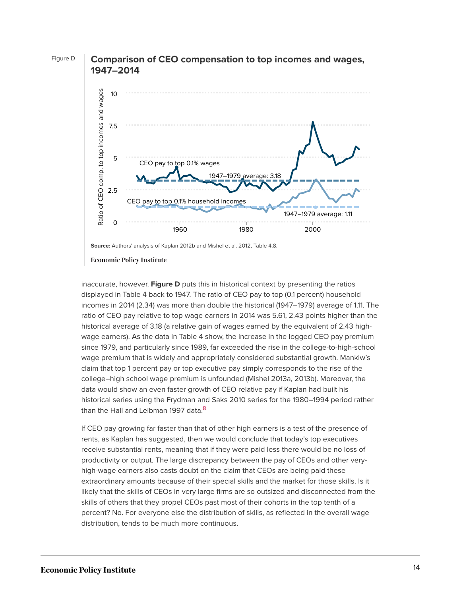



**1958** Economic Policy Institute

displayed in Table 4 back to 1947. The ratio of CEO pay to top (0.1 percent) household **1961** 0.99 3.53 1.11 3.18 incomes in 2014 (2.34) was more than double the historical (1947–1979) average of 1.11. The ratio of CEO pay relative to top wage earners in 2014 was 5.61, 2.43 points higher than the **1963** 1.12 3.65 1.11 3.18 wage earners). As the data in Table 4 show, the increase in the logged CEO pay premium since 1979, and particularly since 1989, far exceeded the rise in the college-to-high-school wage premium that is widely and appropriately considered substantial growth. Mankiw's claim that top 1 percent pay or top executive pay simply corresponds to the rise of the data would show an even faster growth of CEO relative pay if Kaplan had built his **1968** 0.75 3.02 1.11 3.18 historical series using the Frydman and Saks 2010 series for the 1980–1994 period rather than the Hall and Leibman 1997 data.<sup>[8](#page-18-4)</sup> inaccurate, however. **Figure D** puts this in historical context by presenting the ratios historical average of 3.18 (a relative gain of wages earned by the equivalent of 2.43 highcollege–high school wage premium is unfounded (Mishel 2013a, 2013b). Moreover, the

<span id="page-14-0"></span>If CEO pay growing far faster than that of other high earners is a test of the presence of rents, as Kaplan has suggested, then we would conclude that today's top executives receive substantial rents, meaning that if they were paid less there would be no loss o<mark>f</mark> **1973** 1.05 2.72 1.11 3.18 high-wage earners also casts doubt on the claim that CEOs are being paid these extraordinary amounts because of their special skills and the market for those skills. Is it likely that the skills of CEOs in very large firms are so outsized and disconnected from the skills of others that they propel CEOs past most of their cohorts in the top tenth of a .<br>distribution, tends to be much more continuous. productivity or output. The large discrepancy between the pay of CEOs and other verypercent? No. For everyone else the distribution of skills, as reflected in the overall wage

**Source:** Authors' analysis of Kaplan 2012b and Mishel et al. 2012, Table 4.8. **1957** 1.31 3.78 1.11 3.18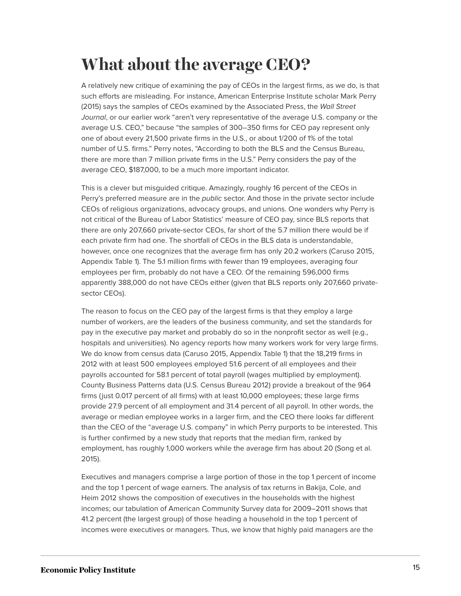### <span id="page-15-0"></span>**What about the average CEO?**

A relatively new critique of examining the pay of CEOs in the largest firms, as we do, is that such efforts are misleading. For instance, American Enterprise Institute scholar Mark Perry (2015) says the samples of CEOs examined by the Associated Press, the Wall Street Journal, or our earlier work "aren't very representative of the average U.S. company or the average U.S. CEO," because "the samples of 300–350 firms for CEO pay represent only one of about every 21,500 private firms in the U.S., or about 1/200 of 1% of the total number of U.S. firms." Perry notes, "According to both the BLS and the Census Bureau, there are more than 7 million private firms in the U.S." Perry considers the pay of the average CEO, \$187,000, to be a much more important indicator.

This is a clever but misguided critique. Amazingly, roughly 16 percent of the CEOs in Perry's preferred measure are in the *public* sector. And those in the private sector include CEOs of religious organizations, advocacy groups, and unions. One wonders why Perry is not critical of the Bureau of Labor Statistics' measure of CEO pay, since BLS reports that there are only 207,660 private-sector CEOs, far short of the 5.7 million there would be if each private firm had one. The shortfall of CEOs in the BLS data is understandable, however, once one recognizes that the average firm has only 20.2 workers (Caruso 2015, Appendix Table 1). The 5.1 million firms with fewer than 19 employees, averaging four employees per firm, probably do not have a CEO. Of the remaining 596,000 firms apparently 388,000 do not have CEOs either (given that BLS reports only 207,660 privatesector CEOs).

The reason to focus on the CEO pay of the largest firms is that they employ a large number of workers, are the leaders of the business community, and set the standards for pay in the executive pay market and probably do so in the nonprofit sector as well (e.g., hospitals and universities). No agency reports how many workers work for very large firms. We do know from census data (Caruso 2015, Appendix Table 1) that the 18,219 firms in 2012 with at least 500 employees employed 51.6 percent of all employees and their payrolls accounted for 58.1 percent of total payroll (wages multiplied by employment). County Business Patterns data (U.S. Census Bureau 2012) provide a breakout of the 964 firms (just 0.017 percent of all firms) with at least 10,000 employees; these large firms provide 27.9 percent of all employment and 31.4 percent of all payroll. In other words, the average or median employee works in a larger firm, and the CEO there looks far different than the CEO of the "average U.S. company" in which Perry purports to be interested. This is further confirmed by a new study that reports that the median firm, ranked by employment, has roughly 1,000 workers while the average firm has about 20 (Song et al. 2015).

Executives and managers comprise a large portion of those in the top 1 percent of income and the top 1 percent of wage earners. The analysis of tax returns in Bakija, Cole, and Heim 2012 shows the composition of executives in the households with the highest incomes; our tabulation of American Community Survey data for 2009–2011 shows that 41.2 percent (the largest group) of those heading a household in the top 1 percent of incomes were executives or managers. Thus, we know that highly paid managers are the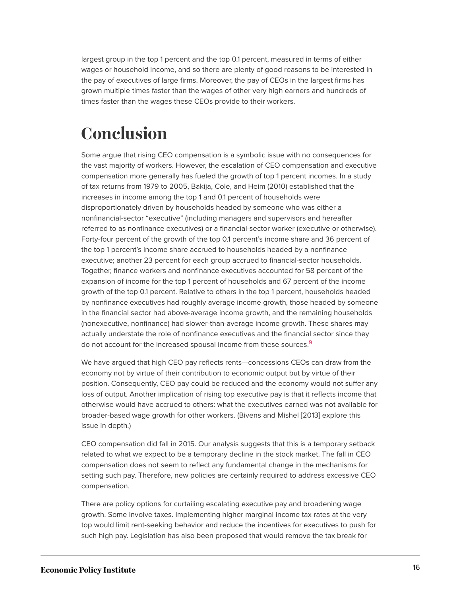largest group in the top 1 percent and the top 0.1 percent, measured in terms of either wages or household income, and so there are plenty of good reasons to be interested in the pay of executives of large firms. Moreover, the pay of CEOs in the largest firms has grown multiple times faster than the wages of other very high earners and hundreds of times faster than the wages these CEOs provide to their workers.

## <span id="page-16-0"></span>**Conclusion**

Some argue that rising CEO compensation is a symbolic issue with no consequences for the vast majority of workers. However, the escalation of CEO compensation and executive compensation more generally has fueled the growth of top 1 percent incomes. In a study of tax returns from 1979 to 2005, Bakija, Cole, and Heim (2010) established that the increases in income among the top 1 and 0.1 percent of households were disproportionately driven by households headed by someone who was either a nonfinancial-sector "executive" (including managers and supervisors and hereafter referred to as nonfinance executives) or a financial-sector worker (executive or otherwise). Forty-four percent of the growth of the top 0.1 percent's income share and 36 percent of the top 1 percent's income share accrued to households headed by a nonfinance executive; another 23 percent for each group accrued to financial-sector households. Together, finance workers and nonfinance executives accounted for 58 percent of the expansion of income for the top 1 percent of households and 67 percent of the income growth of the top 0.1 percent. Relative to others in the top 1 percent, households headed by nonfinance executives had roughly average income growth, those headed by someone in the financial sector had above-average income growth, and the remaining households (nonexecutive, nonfinance) had slower-than-average income growth. These shares may actually understate the role of nonfinance executives and the financial sector since they do not account for the increased spousal income from these sources.<sup>[9](#page-18-5)</sup>

<span id="page-16-1"></span>We have argued that high CEO pay reflects rents—concessions CEOs can draw from the economy not by virtue of their contribution to economic output but by virtue of their position. Consequently, CEO pay could be reduced and the economy would not suffer any loss of output. Another implication of rising top executive pay is that it reflects income that otherwise would have accrued to others: what the executives earned was not available for broader-based wage growth for other workers. (Bivens and Mishel [2013] explore this issue in depth.)

CEO compensation did fall in 2015. Our analysis suggests that this is a temporary setback related to what we expect to be a temporary decline in the stock market. The fall in CEO compensation does not seem to reflect any fundamental change in the mechanisms for setting such pay. Therefore, new policies are certainly required to address excessive CEO compensation.

There are policy options for curtailing escalating executive pay and broadening wage growth. Some involve taxes. Implementing higher marginal income tax rates at the very top would limit rent-seeking behavior and reduce the incentives for executives to push for such high pay. Legislation has also been proposed that would remove the tax break for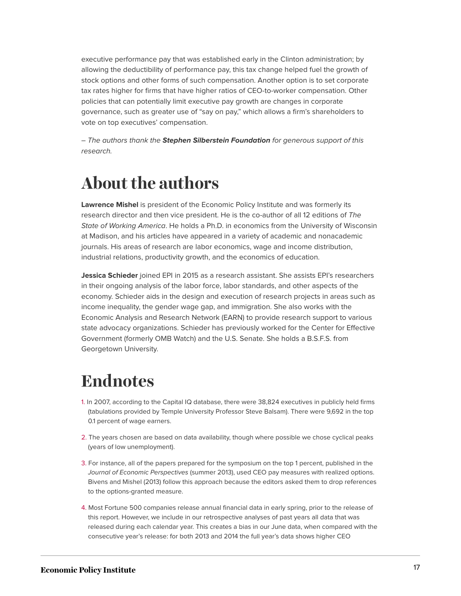executive performance pay that was established early in the Clinton administration; by allowing the deductibility of performance pay, this tax change helped fuel the growth of stock options and other forms of such compensation. Another option is to set corporate tax rates higher for firms that have higher ratios of CEO-to-worker compensation. Other policies that can potentially limit executive pay growth are changes in corporate governance, such as greater use of "say on pay," which allows a firm's shareholders to vote on top executives' compensation.

– The authors thank the **Stephen Silberstein Foundation** for generous support of this research.

### <span id="page-17-0"></span>**About the authors**

**Lawrence Mishel** is president of the Economic Policy Institute and was formerly its research director and then vice president. He is the co-author of all 12 editions of The State of Working America. He holds a Ph.D. in economics from the University of Wisconsin at Madison, and his articles have appeared in a variety of academic and nonacademic journals. His areas of research are labor economics, wage and income distribution, industrial relations, productivity growth, and the economics of education.

**Jessica Schieder** joined EPI in 2015 as a research assistant. She assists EPI's researchers in their ongoing analysis of the labor force, labor standards, and other aspects of the economy. Schieder aids in the design and execution of research projects in areas such as income inequality, the gender wage gap, and immigration. She also works with the Economic Analysis and Research Network (EARN) to provide research support to various state advocacy organizations. Schieder has previously worked for the Center for Effective Government (formerly OMB Watch) and the U.S. Senate. She holds a B.S.F.S. from Georgetown University.

### <span id="page-17-1"></span>**Endnotes**

- <span id="page-17-2"></span>[1.](#page-2-1) In 2007, according to the Capital IQ database, there were 38,824 executives in publicly held firms (tabulations provided by Temple University Professor Steve Balsam). There were 9,692 in the top 0.1 percent of wage earners.
- <span id="page-17-3"></span>[2.](#page-3-1) The years chosen are based on data availability, though where possible we chose cyclical peaks (years of low unemployment).
- <span id="page-17-4"></span>[3.](#page-3-2) For instance, all of the papers prepared for the symposium on the top 1 percent, published in the Journal of Economic Perspectives (summer 2013), used CEO pay measures with realized options. Bivens and Mishel (2013) follow this approach because the editors asked them to drop references to the options-granted measure.
- <span id="page-17-5"></span>[4.](#page-5-0) Most Fortune 500 companies release annual financial data in early spring, prior to the release of this report. However, we include in our retrospective analyses of past years all data that was released during each calendar year. This creates a bias in our June data, when compared with the consecutive year's release: for both 2013 and 2014 the full year's data shows higher CEO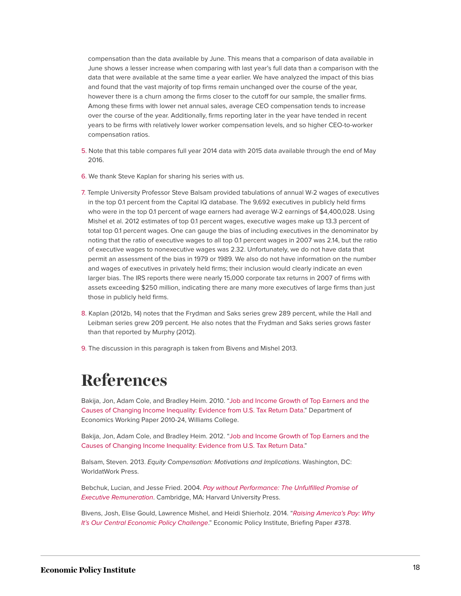compensation than the data available by June. This means that a comparison of data available in June shows a lesser increase when comparing with last year's full data than a comparison with the data that were available at the same time a year earlier. We have analyzed the impact of this bias and found that the vast majority of top firms remain unchanged over the course of the year, however there is a churn among the firms closer to the cutoff for our sample, the smaller firms. Among these firms with lower net annual sales, average CEO compensation tends to increase over the course of the year. Additionally, firms reporting later in the year have tended in recent years to be firms with relatively lower worker compensation levels, and so higher CEO-to-worker compensation ratios.

- <span id="page-18-1"></span>[5.](#page-8-0) Note that this table compares full year 2014 data with 2015 data available through the end of May 2016.
- <span id="page-18-2"></span>[6.](#page-12-0) We thank Steve Kaplan for sharing his series with us.
- <span id="page-18-3"></span>[7.](#page-12-1) Temple University Professor Steve Balsam provided tabulations of annual W-2 wages of executives in the top 0.1 percent from the Capital IQ database. The 9,692 executives in publicly held firms who were in the top 0.1 percent of wage earners had average W-2 earnings of \$4,400,028. Using Mishel et al. 2012 estimates of top 0.1 percent wages, executive wages make up 13.3 percent of total top 0.1 percent wages. One can gauge the bias of including executives in the denominator by noting that the ratio of executive wages to all top 0.1 percent wages in 2007 was 2.14, but the ratio of executive wages to nonexecutive wages was 2.32. Unfortunately, we do not have data that permit an assessment of the bias in 1979 or 1989. We also do not have information on the number and wages of executives in privately held firms; their inclusion would clearly indicate an even larger bias. The IRS reports there were nearly 15,000 corporate tax returns in 2007 of firms with assets exceeding \$250 million, indicating there are many more executives of large firms than just those in publicly held firms.
- <span id="page-18-4"></span>[8.](#page-14-0) Kaplan (2012b, 14) notes that the Frydman and Saks series grew 289 percent, while the Hall and Leibman series grew 209 percent. He also notes that the Frydman and Saks series grows faster than that reported by Murphy (2012).
- <span id="page-18-5"></span>[9.](#page-16-1) The discussion in this paragraph is taken from Bivens and Mishel 2013.

### <span id="page-18-0"></span>**References**

Bakija, Jon, Adam Cole, and Bradley Heim. 2010. "[Job and Income Growth of Top Earners and the](http://piketty.pse.ens.fr/files/Bakijaetal2010.pdf) [Causes of Changing Income Inequality: Evidence from U.S. Tax Return Data](http://piketty.pse.ens.fr/files/Bakijaetal2010.pdf)." Department of Economics Working Paper 2010-24, Williams College.

Bakija, Jon, Adam Cole, and Bradley Heim. 2012. ["Job and Income Growth of Top Earners and the](https://web.williams.edu/Economics/wp/BakijaColeHeimJobsIncomeGrowthTopEarners.pdf) [Causes of Changing Income Inequality: Evidence from U.S. Tax Return Data](https://web.williams.edu/Economics/wp/BakijaColeHeimJobsIncomeGrowthTopEarners.pdf)."

Balsam, Steven. 2013. Equity Compensation: Motivations and Implications. Washington, DC: WorldatWork Press.

Bebchuk, Lucian, and Jesse Fried. 2004. [Pay without Performance: The Unfulfilled Promise of](http://www.law.harvard.edu/faculty/bebchuk/pdfs/Performance-Part2.pdf) [Executive Remuneration](http://www.law.harvard.edu/faculty/bebchuk/pdfs/Performance-Part2.pdf). Cambridge, MA: Harvard University Press.

Bivens, Josh, Elise Gould, Lawrence Mishel, and Heidi Shierholz. 2014. "[Raising America's Pay: Why](http://www.epi.org/publication/raising-americas-pay/) [It's Our Central Economic Policy Challenge](http://www.epi.org/publication/raising-americas-pay/)." Economic Policy Institute, Briefing Paper #378.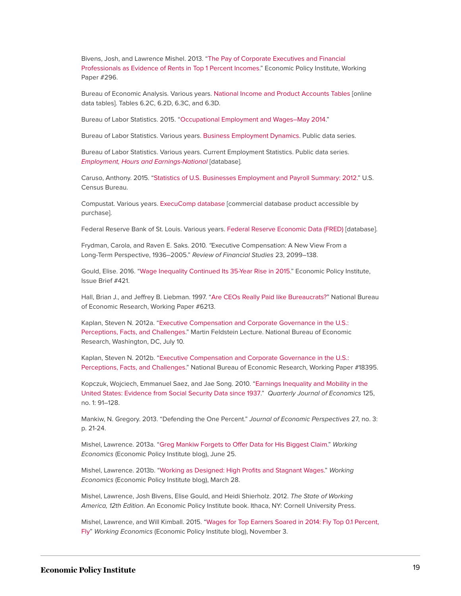Bivens, Josh, and Lawrence Mishel. 2013. ["The Pay of Corporate Executives and Financial](http://www.epi.org/publication/pay-corporate-executives-financial-professionals/) [Professionals as Evidence of Rents in Top 1 Percent Incomes.](http://www.epi.org/publication/pay-corporate-executives-financial-professionals/)" Economic Policy Institute, Working Paper #296.

Bureau of Economic Analysis. Various years. [National Income and Product Accounts Tables](http://bea.gov/iTable/iTable.cfm?ReqID=9&step=1) [online data tables]. Tables 6.2C, 6.2D, 6.3C, and 6.3D.

Bureau of Labor Statistics. 2015. "[Occupational Employment and Wages–May 2014.](http://www.bls.gov/news.release/pdf/ocwage.pdf)"

Bureau of Labor Statistics. Various years. [Business Employment Dynamics](http://www.bls.gov/news.release/cewbd.t01.htm). Public data series.

Bureau of Labor Statistics. Various years. Current Employment Statistics. Public data series. [Employment, Hours and Earnings-National](http://www.bls.gov/ces/#data) [database].

Caruso, Anthony. 2015. ["Statistics of U.S. Businesses Employment and Payroll Summary: 2012.](http://www.census.gov/content/dam/Census/library/publications/2015/econ/g12-susb.pdf)" U.S. Census Bureau.

Compustat. Various years. [ExecuComp database](http://www.compustat.com/products.aspx?id=2147492873&terms=Execucomp) [commercial database product accessible by purchase].

Federal Reserve Bank of St. Louis. Various years. [Federal Reserve Economic Data \(FRED\)](http://research.stlouisfed.org/fred2/) [database].

Frydman, Carola, and Raven E. Saks. 2010. "Executive Compensation: A New View From a Long-Term Perspective, 1936–2005." Review of Financial Studies 23, 2099–138.

Gould, Elise. 2016. "[Wage Inequality Continued Its 35-Year Rise in 2015](http://www.epi.org/publication/wage-inequality-continued-its-35-year-rise-in-2015/)." Economic Policy Institute, Issue Brief #421.

Hall, Brian J., and Jeffrey B. Liebman. 1997. "[Are CEOs Really Paid like Bureaucrats?](http://www.nber.org/papers/w6213)" National Bureau of Economic Research, Working Paper #6213.

Kaplan, Steven N. 2012a. "[Executive Compensation and Corporate Governance in the U.S.:](http://www.nber.org/feldstein_lecture_2012/Kaplan%20Feldstein%20September%20NBER.pdf) [Perceptions, Facts, and Challenges](http://www.nber.org/feldstein_lecture_2012/Kaplan%20Feldstein%20September%20NBER.pdf)." Martin Feldstein Lecture. National Bureau of Economic Research, Washington, DC, July 10.

Kaplan, Steven N. 2012b. "[Executive Compensation and Corporate Governance in the U.S.:](http://www.nber.org/papers/w18395) [Perceptions, Facts, and Challenges](http://www.nber.org/papers/w18395)." National Bureau of Economic Research, Working Paper #18395.

Kopczuk, Wojciech, Emmanuel Saez, and Jae Song. 2010. ["Earnings Inequality and Mobility in the](http://qje.oxfordjournals.org/content/125/1/91.short) [United States: Evidence from Social Security Data since 1937](http://qje.oxfordjournals.org/content/125/1/91.short)." Quarterly Journal of Economics 125, no. 1: 91–128.

Mankiw, N. Gregory. 2013. "Defending the One Percent." Journal of Economic Perspectives 27, no. 3: p. 21-24.

Mishel, Lawrence. 2013a. ["Greg Mankiw Forgets to Offer Data for His Biggest Claim.](http://www.epi.org/blog/greg-mankiw-forgets-offer-data-biggest-claim/)" Working Economics (Economic Policy Institute blog), June 25.

Mishel, Lawrence. 2013b. ["Working as Designed: High Profits and Stagnant Wages](http://www.epi.org/blog/working-designed-high-profits-stagnant-wages/)." Working Economics (Economic Policy Institute blog), March 28.

Mishel, Lawrence, Josh Bivens, Elise Gould, and Heidi Shierholz. 2012. The State of Working America, 12th Edition. An Economic Policy Institute book. Ithaca, NY: Cornell University Press.

Mishel, Lawrence, and Will Kimball. 2015. ["Wages for Top Earners Soared in 2014: Fly Top 0.1 Percent,](mailto:http://www.epi.org/blog/wages-for-top-earners-soared-in-2014-fly-top-0-1-percent-fly/) [Fly](mailto:http://www.epi.org/blog/wages-for-top-earners-soared-in-2014-fly-top-0-1-percent-fly/)" Working Economics (Economic Policy Institute blog), November 3.